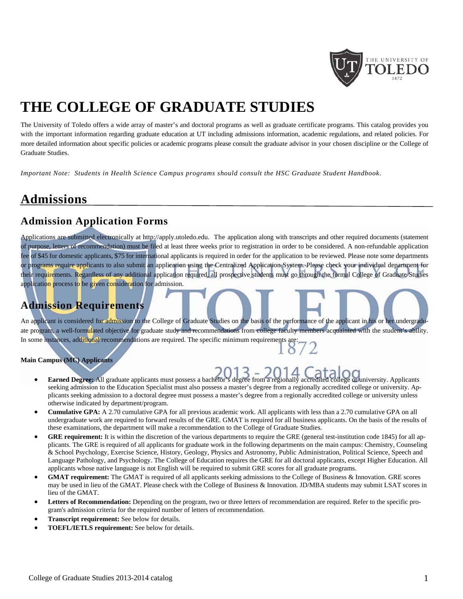

# **THE COLLEGE OF GRADUATE STUDIES**

The University of Toledo offers a wide array of master's and doctoral programs as well as graduate certificate programs. This catalog provides you with the important information regarding graduate education at UT including admissions information, academic regulations, and related policies. For more detailed information about specific policies or academic programs please consult the graduate advisor in your chosen discipline or the College of Graduate Studies.

*Important Note: Students in Health Science Campus programs should consult the HSC Graduate Student Handbook*.

# **Admissions**

### **Admission Application Forms**

Applications are submitted electronically at http://apply.utoledo.edu.The application along with transcripts and other required documents (statement of purpose, letters of recommendation) must be filed at least three weeks prior to registration in order to be considered. A non-refundable application fee of \$45 for domestic applicants, \$75 for international applicants is required in order for the application to be reviewed. Please note some departments or programs require applicants to also submit an application using the Centralized Application System. Please check your individual department for their requirements. Regardless of any additional application required, all prospective students must go through the formal College of Graduate Studies application process to be given consideration for admission.

# **Admission Requirements**

An applicant is considered for admission to the College of Graduate Studies on the basis of the performance of the applicant in his or her undergraduate program, a well-formulated objective for graduate study and recommendations from college faculty members acquainted with the student's ability. ate program, a well-formulated objective for graduate study and recommendations are required. The specific minimum requirements are:

#### **Main Campus (MC) Applicants**

- **Earned Degree:** All graduate applicants must possess a bachelor's degree from a regionally accredited college or university. Applicants seeking admission to the Education Specialist must also possess a master's degree from a regionally accredited college or university. Applicants seeking admission to a doctoral degree must possess a master's degree from a regionally accredited college or university unless otherwise indicated by department/program.
- **Cumulative GPA:** A 2.70 cumulative GPA for all previous academic work. All applicants with less than a 2.70 cumulative GPA on all undergraduate work are required to forward results of the GRE. GMAT is required for all business applicants. On the basis of the results of these examinations, the department will make a recommendation to the College of Graduate Studies.
- **GRE requirement:** It is within the discretion of the various departments to require the GRE (general test-institution code 1845) for all applicants. The GRE is required of all applicants for graduate work in the following departments on the main campus: Chemistry, Counseling & School Psychology, Exercise Science, History, Geology, Physics and Astronomy, Public Administration, Political Science, Speech and Language Pathology, and Psychology. The College of Education requires the GRE for all doctoral applicants, except Higher Education. All applicants whose native language is not English will be required to submit GRE scores for all graduate programs.
- **GMAT requirement:** The GMAT is required of all applicants seeking admissions to the College of Business & Innovation. GRE scores may be used in lieu of the GMAT. Please check with the College of Business & Innovation. JD/MBA students may submit LSAT scores in lieu of the GMAT.
- **Letters of Recommendation:** Depending on the program, two or three letters of recommendation are required. Refer to the specific program's admission criteria for the required number of letters of recommendation.
- **Transcript requirement:** See below for details.
- **TOEFL/IETLS requirement:** See below for details.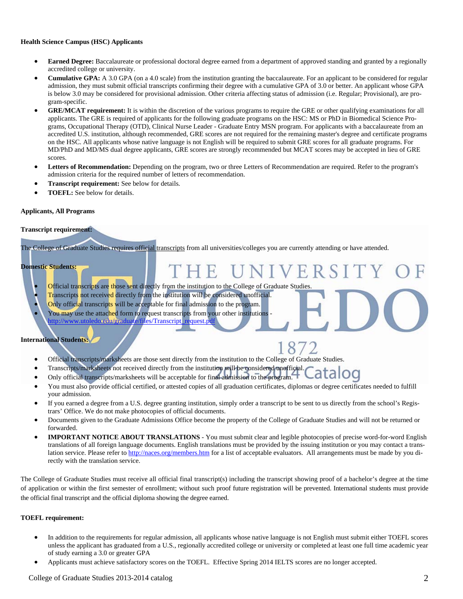#### **Health Science Campus (HSC) Applicants**

- **Earned Degree:** Baccalaureate or professional doctoral degree earned from a department of approved standing and granted by a regionally accredited college or university.
- **Cumulative GPA:** A 3.0 GPA (on a 4.0 scale) from the institution granting the baccalaureate. For an applicant to be considered for regular admission, they must submit official transcripts confirming their degree with a cumulative GPA of 3.0 or better. An applicant whose GPA is below 3.0 may be considered for provisional admission. Other criteria affecting status of admission (i.e. Regular; Provisional), are program-specific.
- **GRE/MCAT requirement:** It is within the discretion of the various programs to require the GRE or other qualifying examinations for all applicants. The GRE is required of applicants for the following graduate programs on the HSC: MS or PhD in Biomedical Science Programs, Occupational Therapy (OTD), Clinical Nurse Leader - Graduate Entry MSN program. For applicants with a baccalaureate from an accredited U.S. institution, although recommended, GRE scores are not required for the remaining master's degree and certificate programs on the HSC. All applicants whose native language is not English will be required to submit GRE scores for all graduate programs. For MD/PhD and MD/MS dual degree applicants, GRE scores are strongly recommended but MCAT scores may be accepted in lieu of GRE scores.
- Letters of Recommendation: Depending on the program, two or three Letters of Recommendation are required. Refer to the program's admission criteria for the required number of letters of recommendation.

V F

R S

- **Transcript requirement:** See below for details.
- **TOEFL:** See below for details.

#### **Applicants, All Programs**

#### **Transcript requirement:**

The College of Graduate Studies requires official transcripts from all universities/colleges you are currently attending or have attended.

#### **Domestic Students:**

- Official transcripts are those sent directly from the institution to the College of Graduate Studies.
- Transcripts not received directly from the institution will be considered unofficial.
- Only official transcripts will be acceptable for final admission to the program. You may use the attached form to request transcripts from your other institutions http://www.utoledo.edu/graduate/files/Transcript\_request.pdf

#### **International Students:**

- Official transcripts/marksheets are those sent directly from the institution to the College of Graduate Studies.
- Transcripts/marksheets not received directly from the institution will be considered unofficial.
- Only official transcripts/marksheets will be acceptable for final admission to the program.
- You must also provide official certified, or attested copies of all graduation certificates, diplomas or degree certificates needed to fulfill your admission.
- If you earned a degree from a U.S. degree granting institution, simply order a transcript to be sent to us directly from the school's Registrars' Office. We do not make photocopies of official documents.
- Documents given to the Graduate Admissions Office become the property of the College of Graduate Studies and will not be returned or forwarded.
- **IMPORTANT NOTICE ABOUT TRANSLATIONS** You must submit clear and legible photocopies of precise word-for-word English translations of all foreign language documents. English translations must be provided by the issuing institution or you may contact a translation service. Please refer to http://naces.org/members.htm for a list of acceptable evaluators. All arrangements must be made by you directly with the translation service.

The College of Graduate Studies must receive all official final transcript(s) including the transcript showing proof of a bachelor's degree at the time of application or within the first semester of enrollment; without such proof future registration will be prevented. International students must provide the official final transcript and the official diploma showing the degree earned.

#### **TOEFL requirement:**

- In addition to the requirements for regular admission, all applicants whose native language is not English must submit either TOEFL scores unless the applicant has graduated from a U.S., regionally accredited college or university or completed at least one full time academic year of study earning a 3.0 or greater GPA
- Applicants must achieve satisfactory scores on the TOEFL. Effective Spring 2014 IELTS scores are no longer accepted.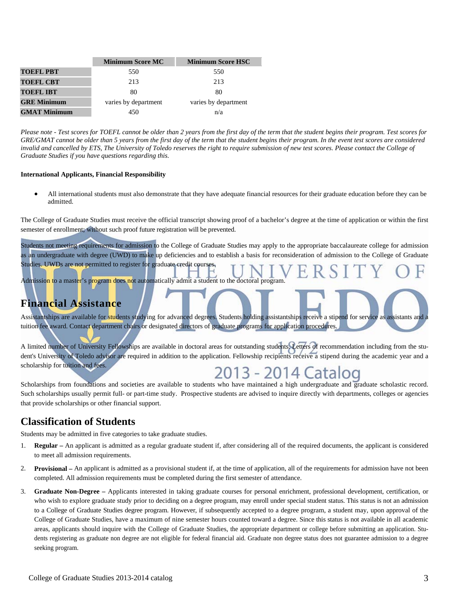|                     | <b>Minimum Score MC</b> | <b>Minimum Score HSC</b> |
|---------------------|-------------------------|--------------------------|
| <b>TOEFL PBT</b>    | 550                     | 550                      |
| <b>TOEFL CBT</b>    | 213                     | 213                      |
| <b>TOEFL IBT</b>    | 80                      | 80                       |
| <b>GRE Minimum</b>  | varies by department    | varies by department     |
| <b>GMAT Minimum</b> | 450                     | n/a                      |

*Please note - Test scores for TOEFL cannot be older than 2 years from the first day of the term that the student begins their program. Test scores for GRE/GMAT cannot be older than 5 years from the first day of the term that the student begins their program. In the event test scores are considered*  invalid and cancelled by ETS, The University of Toledo reserves the right to require submission of new test scores. Please contact the College of *Graduate Studies if you have questions regarding this.*

#### **International Applicants, Financial Responsibility**

 All international students must also demonstrate that they have adequate financial resources for their graduate education before they can be admitted.

The College of Graduate Studies must receive the official transcript showing proof of a bachelor's degree at the time of application or within the first semester of enrollment; without such proof future registration will be prevented.

Students not meeting requirements for admission to the College of Graduate Studies may apply to the appropriate baccalaureate college for admission as an undergraduate with degree (UWD) to make up deficiencies and to establish a basis for reconsideration of admission to the College of Graduate Studies. UWDs are not permitted to register for graduate credit courses.

Admission to a master's program does not automatically admit a student to the doctoral program.

#### **Financial Assistance**

Assistantships are available for students studying for advanced degrees. Students holding assistantships receive a stipend for service as assistants and tuition fee award. Contact department chairs or designated directors of graduate programs for application procedures.

A limited number of University Fellowships are available in doctoral areas for outstanding students. Letters of recommendation including from the student's University of Toledo advisor are required in addition to the application. Fellowship recipients receive a stipend during the academic year and a scholarship for tuition and fees.



Scholarships from foundations and societies are available to students who have maintained a high undergraduate and graduate scholastic record. Such scholarships usually permit full- or part-time study. Prospective students are advised to inquire directly with departments, colleges or agencies that provide scholarships or other financial support.

#### **Classification of Students**

Students may be admitted in five categories to take graduate studies.

- 1. **Regular** An applicant is admitted as a regular graduate student if, after considering all of the required documents, the applicant is considered to meet all admission requirements.
- 2. **Provisional** An applicant is admitted as a provisional student if, at the time of application, all of the requirements for admission have not been completed. All admission requirements must be completed during the first semester of attendance.
- 3. **Graduate Non-Degree** Applicants interested in taking graduate courses for personal enrichment, professional development, certification, or who wish to explore graduate study prior to deciding on a degree program, may enroll under special student status. This status is not an admission to a College of Graduate Studies degree program. However, if subsequently accepted to a degree program, a student may, upon approval of the College of Graduate Studies, have a maximum of nine semester hours counted toward a degree. Since this status is not available in all academic areas, applicants should inquire with the College of Graduate Studies, the appropriate department or college before submitting an application. Students registering as graduate non degree are not eligible for federal financial aid. Graduate non degree status does not guarantee admission to a degree seeking program.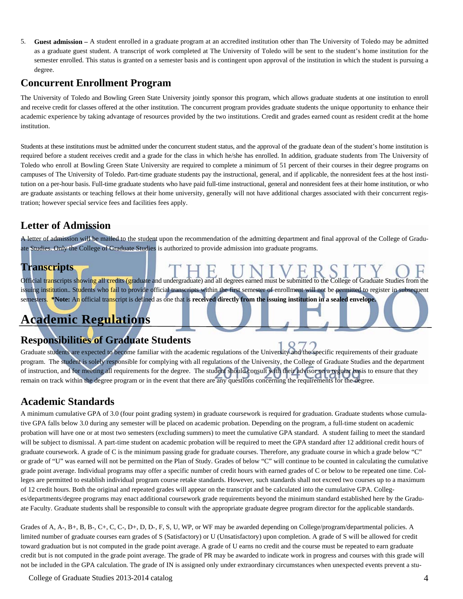5. **Guest admission –** A student enrolled in a graduate program at an accredited institution other than The University of Toledo may be admitted as a graduate guest student. A transcript of work completed at The University of Toledo will be sent to the student's home institution for the semester enrolled. This status is granted on a semester basis and is contingent upon approval of the institution in which the student is pursuing a degree.

#### **Concurrent Enrollment Program**

The University of Toledo and Bowling Green State University jointly sponsor this program, which allows graduate students at one institution to enroll and receive credit for classes offered at the other institution. The concurrent program provides graduate students the unique opportunity to enhance their academic experience by taking advantage of resources provided by the two institutions. Credit and grades earned count as resident credit at the home institution.

Students at these institutions must be admitted under the concurrent student status, and the approval of the graduate dean of the student's home institution is required before a student receives credit and a grade for the class in which he/she has enrolled. In addition, graduate students from The University of Toledo who enroll at Bowling Green State University are required to complete a minimum of 51 percent of their courses in their degree programs on campuses of The University of Toledo. Part-time graduate students pay the instructional, general, and if applicable, the nonresident fees at the host institution on a per-hour basis. Full-time graduate students who have paid full-time instructional, general and nonresident fees at their home institution, or who are graduate assistants or teaching fellows at their home university, generally will not have additional charges associated with their concurrent registration; however special service fees and facilities fees apply.

### **Letter of Admission**

A letter of admission will be mailed to the student upon the recommendation of the admitting department and final approval of the College of Graduate Studies. Only the College of Graduate Studies is authorized to provide admission into graduate programs.

# **Transcripts**

Official transcripts showing all credits (graduate and undergraduate) and all degrees earned must be submitted to the College of Graduate Studies from the issuing institution.. Students who fail to provide official transcripts within the first semester of enrollment will not be permitted to register in subsequent semesters. **\*Note:** An official transcript is defined as one that is **received directly from the issuing institution in a sealed envelope.** 

# **Academic Regulations**

### **Responsibilities of Graduate Students**

Graduate students are expected to become familiar with the academic regulations of the University and the specific requirements of their graduate program. The student is solely responsible for complying with all regulations of the University, the College of Graduate Studies and the department of instruction, and for meeting all requirements for the degree. The student should consult with their advisor on a regular basis to ensure that they remain on track within the degree program or in the event that there are any questions concerning the requirements for the degree.

#### **Academic Standards**

A minimum cumulative GPA of 3.0 (four point grading system) in graduate coursework is required for graduation. Graduate students whose cumulative GPA falls below 3.0 during any semester will be placed on academic probation. Depending on the program, a full‐time student on academic probation will have one or at most two semesters (excluding summers) to meet the cumulative GPA standard. A student failing to meet the standard will be subject to dismissal. A part-time student on academic probation will be required to meet the GPA standard after 12 additional credit hours of graduate coursework. A grade of C is the minimum passing grade for graduate courses. Therefore, any graduate course in which a grade below "C" or grade of "U" was earned will not be permitted on the Plan of Study. Grades of below "C" will continue to be counted in calculating the cumulative grade point average. Individual programs may offer a specific number of credit hours with earned grades of C or below to be repeated one time. Colleges are permitted to establish individual program course retake standards. However, such standards shall not exceed two courses up to a maximum of 12 credit hours. Both the original and repeated grades will appear on the transcript and be calculated into the cumulative GPA. Colleges/departments/degree programs may enact additional coursework grade requirements beyond the minimum standard established here by the Graduate Faculty. Graduate students shall be responsible to consult with the appropriate graduate degree program director for the applicable standards.

Grades of A, A-, B+, B, B-, C+, C, C-, D+, D, D-, F, S, U, WP, or WF may be awarded depending on College/program/departmental policies. A limited number of graduate courses earn grades of S (Satisfactory) or U (Unsatisfactory) upon completion. A grade of S will be allowed for credit toward graduation but is not computed in the grade point average. A grade of U earns no credit and the course must be repeated to earn graduate credit but is not computed in the grade point average. The grade of PR may be awarded to indicate work in progress and courses with this grade will not be included in the GPA calculation. The grade of IN is assigned only under extraordinary circumstances when unexpected events prevent a stu-

College of Graduate Studies 2013-2014 catalog 4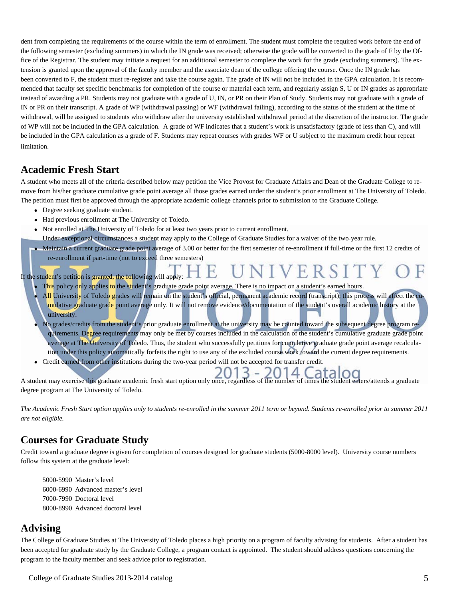dent from completing the requirements of the course within the term of enrollment. The student must complete the required work before the end of the following semester (excluding summers) in which the IN grade was received; otherwise the grade will be converted to the grade of F by the Office of the Registrar. The student may initiate a request for an additional semester to complete the work for the grade (excluding summers). The extension is granted upon the approval of the faculty member and the associate dean of the college offering the course. Once the IN grade has been converted to F, the student must re-register and take the course again. The grade of IN will not be included in the GPA calculation. It is recommended that faculty set specific benchmarks for completion of the course or material each term, and regularly assign S, U or IN grades as appropriate instead of awarding a PR. Students may not graduate with a grade of U, IN, or PR on their Plan of Study. Students may not graduate with a grade of IN or PR on their transcript. A grade of WP (withdrawal passing) or WF (withdrawal failing), according to the status of the student at the time of withdrawal, will be assigned to students who withdraw after the university established withdrawal period at the discretion of the instructor. The grade of WP will not be included in the GPA calculation. A grade of WF indicates that a student's work is unsatisfactory (grade of less than C), and will be included in the GPA calculation as a grade of F. Students may repeat courses with grades WF or U subject to the maximum credit hour repeat limitation.

#### **Academic Fresh Start**

i

A student who meets all of the criteria described below may petition the Vice Provost for Graduate Affairs and Dean of the Graduate College to remove from his/her graduate cumulative grade point average all those grades earned under the student's prior enrollment at The University of Toledo. The petition must first be approved through the appropriate academic college channels prior to submission to the Graduate College.

- Degree seeking graduate student.
- Had previous enrollment at The University of Toledo.
- Not enrolled at The University of Toledo for at least two years prior to current enrollment.

Under exceptional circumstances a student may apply to the College of Graduate Studies for a waiver of the two-year rule.

 Maintain a current graduate grade point average of 3.00 or better for the first semester of re‐enrollment if full‐time or the first 12 credits of re-enrollment if part-time (not to exceed three semesters)

VERSIT

If the student's petition is granted, the following will apply:  $\blacksquare$ 

- This policy only applies to the student's graduate grade point average. There is no impact on a student's earned hours.
- All University of Toledo grades will remain on the student's official, permanent academic record (transcript); this process will affect the cumulative graduate grade point average only. It will not remove evidence/documentation of the student's overall academic history at the university.
- No grades/credits from the student's prior graduate enrollment at the university may be counted toward the subsequent degree program requirements. Degree requirements may only be met by courses included in the calculation of the student's cumulative graduate grade point average at The University of Toledo. Thus, the student who successfully petitions for cumulative graduate grade point average recalculation under this policy automatically forfeits the right to use any of the excluded course work toward the current degree requirements.
- Credit earned from other institutions during the two‐year period will not be accepted for transfer credit.

3  $\qquad \qquad -$ A student may exercise this graduate academic fresh start option only once, regardless of the number of times the student enters/attends a graduate degree program at The University of Toledo.

*The Academic Fresh Start option applies only to students re-enrolled in the summer 2011 term or beyond. Students re-enrolled prior to summer 2011 are not eligible.* 

#### **Courses for Graduate Study**

Credit toward a graduate degree is given for completion of courses designed for graduate students (5000-8000 level). University course numbers follow this system at the graduate level:

 5000-5990 Master's level 6000-6990 Advanced master's level 7000-7990 Doctoral level 8000-8990 Advanced doctoral level

#### **Advising**

The College of Graduate Studies at The University of Toledo places a high priority on a program of faculty advising for students. After a student has been accepted for graduate study by the Graduate College, a program contact is appointed. The student should address questions concerning the program to the faculty member and seek advice prior to registration.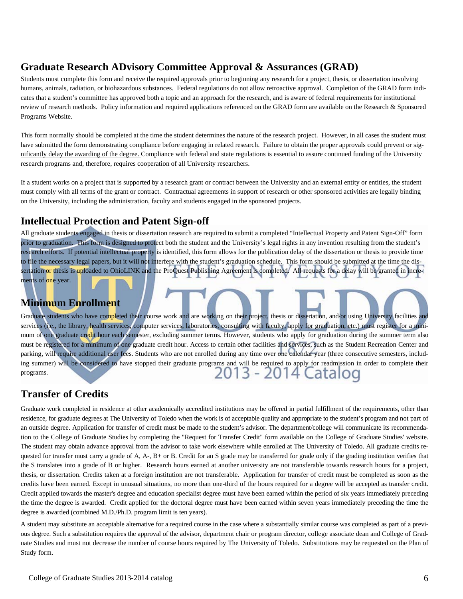#### **Graduate Research ADvisory Committee Approval & Assurances (GRAD)**

Students must complete this form and receive the required approvals prior to beginning any research for a project, thesis, or dissertation involving humans, animals, radiation, or biohazardous substances. Federal regulations do not allow retroactive approval. Completion of the GRAD form indicates that a student's committee has approved both a topic and an approach for the research, and is aware of federal requirements for institutional review of research methods. Policy information and required applications referenced on the GRAD form are available on the Research & Sponsored Programs Website.

This form normally should be completed at the time the student determines the nature of the research project. However, in all cases the student must have submitted the form demonstrating compliance before engaging in related research. Failure to obtain the proper approvals could prevent or significantly delay the awarding of the degree. Compliance with federal and state regulations is essential to assure continued funding of the University research programs and, therefore, requires cooperation of all University researchers.

If a student works on a project that is supported by a research grant or contract between the University and an external entity or entities, the student must comply with all terms of the grant or contract. Contractual agreements in support of research or other sponsored activities are legally binding on the University, including the administration, faculty and students engaged in the sponsored projects.

#### **Intellectual Protection and Patent Sign-off**

All graduate students engaged in thesis or dissertation research are required to submit a completed "Intellectual Property and Patent Sign-Off" form prior to graduation. This form is designed to protect both the student and the University's legal rights in any invention resulting from the student's research efforts. If potential intellectual property is identified, this form allows for the publication delay of the dissertation or thesis to provide time to file the necessary legal papers, but it will not interfere with the student's graduation schedule. This form should be submitted at the time the dissertation or thesis is uploaded to OhioLINK and the ProQuest Publishing Agreement is completed. All requests for a delay will be granted in increments of one year.

### **Minimum Enrollment**

Graduate students who have completed their course work and are working on their project, thesis or dissertation, and/or using University facilities and services (i.e., the library, health services, computer services, laboratories, consulting with faculty, apply for graduation, etc.) must register for a minimum of one graduate credit hour each semester, excluding summer terms. However, students who apply for graduation during the summer term also must be registered for a minimum of one graduate credit hour. Access to certain other facilities and services, such as the Student Recreation Center and parking, will require additional user fees. Students who are not enrolled during any time over one calendar year (three consecutive semesters, including summer) will be considered to have stopped their graduate programs and will be required to apply for readmission in order to complete their programs.

#### **Transfer of Credits**

Graduate work completed in residence at other academically accredited institutions may be offered in partial fulfillment of the requirements, other than residence, for graduate degrees at The University of Toledo when the work is of acceptable quality and appropriate to the student's program and not part of an outside degree. Application for transfer of credit must be made to the student's advisor. The department/college will communicate its recommendation to the College of Graduate Studies by completing the "Request for Transfer Credit" form available on the College of Graduate Studies' website. The student may obtain advance approval from the advisor to take work elsewhere while enrolled at The University of Toledo. All graduate credits requested for transfer must carry a grade of A, A-, B+ or B. Credit for an S grade may be transferred for grade only if the grading institution verifies that the S translates into a grade of B or higher. Research hours earned at another university are not transferable towards research hours for a project, thesis, or dissertation. Credits taken at a foreign institution are not transferable. Application for transfer of credit must be completed as soon as the credits have been earned. Except in unusual situations, no more than one-third of the hours required for a degree will be accepted as transfer credit. Credit applied towards the master's degree and education specialist degree must have been earned within the period of six years immediately preceding the time the degree is awarded. Credit applied for the doctoral degree must have been earned within seven years immediately preceding the time the degree is awarded (combined M.D./Ph.D. program limit is ten years).

A student may substitute an acceptable alternative for a required course in the case where a substantially similar course was completed as part of a previous degree. Such a substitution requires the approval of the advisor, department chair or program director, college associate dean and College of Graduate Studies and must not decrease the number of course hours required by The University of Toledo. Substitutions may be requested on the Plan of Study form.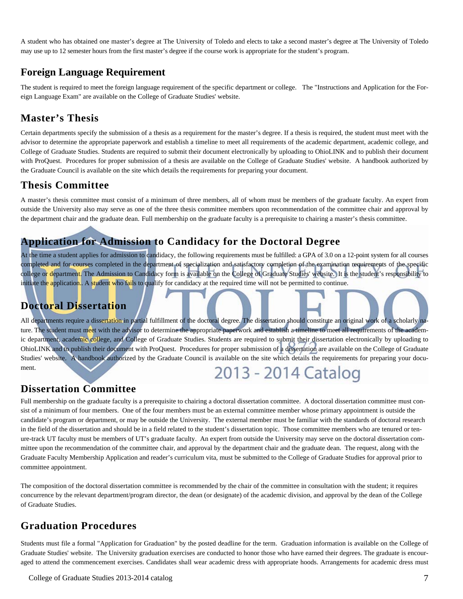A student who has obtained one master's degree at The University of Toledo and elects to take a second master's degree at The University of Toledo may use up to 12 semester hours from the first master's degree if the course work is appropriate for the student's program.

#### **Foreign Language Requirement**

The student is required to meet the foreign language requirement of the specific department or college. The "Instructions and Application for the Foreign Language Exam" are available on the College of Graduate Studies' website.

### **Master's Thesis**

Certain departments specify the submission of a thesis as a requirement for the master's degree. If a thesis is required, the student must meet with the advisor to determine the appropriate paperwork and establish a timeline to meet all requirements of the academic department, academic college, and College of Graduate Studies. Students are required to submit their document electronically by uploading to OhioLINK and to publish their document with ProQuest. Procedures for proper submission of a thesis are available on the College of Graduate Studies' website. A handbook authorized by the Graduate Council is available on the site which details the requirements for preparing your document.

#### **Thesis Committee**

A master's thesis committee must consist of a minimum of three members, all of whom must be members of the graduate faculty. An expert from outside the University also may serve as one of the three thesis committee members upon recommendation of the committee chair and approval by the department chair and the graduate dean. Full membership on the graduate faculty is a prerequisite to chairing a master's thesis committee.

### **Application for Admission to Candidacy for the Doctoral Degree**

At the time a student applies for admission to candidacy, the following requirements must be fulfilled: a GPA of 3.0 on a 12-point system for all courses completed and for courses completed in the department of specialization and satisfactory completion of the examination requirements of the specific college or department. The Admission to Candidacy form is available on the College of Graduate Studies' website. It is the student's responsibility to initiate the application.. A student who fails to qualify for candidacy at the required time will not be permitted to continue.

### **Doctoral Dissertation**

All departments require a dissertation in partial fulfillment of the doctoral degree. The dissertation should constitute an original work of a scholarly nature. The student must meet with the advisor to determine the appropriate paperwork and establish a timeline to meet all requirements of the academic department, academic college, and College of Graduate Studies. Students are required to submit their dissertation electronically by uploading to OhioLINK and to publish their document with ProQuest. Procedures for proper submission of a dissertation are available on the College of Graduate Studies' website. A handbook authorized by the Graduate Council is available on the site which details the requirements for preparing your document. 2013 - 2014 Catalog

#### **Dissertation Committee**

Full membership on the graduate faculty is a prerequisite to chairing a doctoral dissertation committee. A doctoral dissertation committee must consist of a minimum of four members. One of the four members must be an external committee member whose primary appointment is outside the candidate's program or department, or may be outside the University. The external member must be familiar with the standards of doctoral research in the field of the dissertation and should be in a field related to the student's dissertation topic. Those committee members who are tenured or tenure-track UT faculty must be members of UT's graduate faculty. An expert from outside the University may serve on the doctoral dissertation committee upon the recommendation of the committee chair, and approval by the department chair and the graduate dean. The request, along with the Graduate Faculty Membership Application and reader's curriculum vita, must be submitted to the College of Graduate Studies for approval prior to committee appointment.

The composition of the doctoral dissertation committee is recommended by the chair of the committee in consultation with the student; it requires concurrence by the relevant department/program director, the dean (or designate) of the academic division, and approval by the dean of the College of Graduate Studies.

### **Graduation Procedures**

Students must file a formal "Application for Graduation" by the posted deadline for the term. Graduation information is available on the College of Graduate Studies' website. The University graduation exercises are conducted to honor those who have earned their degrees. The graduate is encouraged to attend the commencement exercises. Candidates shall wear academic dress with appropriate hoods. Arrangements for academic dress must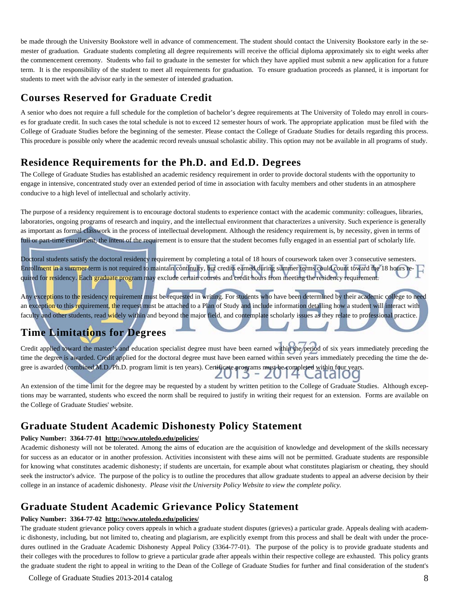be made through the University Bookstore well in advance of commencement. The student should contact the University Bookstore early in the semester of graduation. Graduate students completing all degree requirements will receive the official diploma approximately six to eight weeks after the commencement ceremony. Students who fail to graduate in the semester for which they have applied must submit a new application for a future term. It is the responsibility of the student to meet all requirements for graduation. To ensure graduation proceeds as planned, it is important for students to meet with the advisor early in the semester of intended graduation.

#### **Courses Reserved for Graduate Credit**

A senior who does not require a full schedule for the completion of bachelor's degree requirements at The University of Toledo may enroll in courses for graduate credit. In such cases the total schedule is not to exceed 12 semester hours of work. The appropriate application must be filed with the College of Graduate Studies before the beginning of the semester. Please contact the College of Graduate Studies for details regarding this process. This procedure is possible only where the academic record reveals unusual scholastic ability. This option may not be available in all programs of study.

### **Residence Requirements for the Ph.D. and Ed.D. Degrees**

The College of Graduate Studies has established an academic residency requirement in order to provide doctoral students with the opportunity to engage in intensive, concentrated study over an extended period of time in association with faculty members and other students in an atmosphere conducive to a high level of intellectual and scholarly activity.

The purpose of a residency requirement is to encourage doctoral students to experience contact with the academic community: colleagues, libraries, laboratories, ongoing programs of research and inquiry, and the intellectual environment that characterizes a university. Such experience is generally as important as formal classwork in the process of intellectual development. Although the residency requirement is, by necessity, given in terms of full or part-time enrollment, the intent of the requirement is to ensure that the student becomes fully engaged in an essential part of scholarly life.

Doctoral students satisfy the doctoral residency requirement by completing a total of 18 hours of coursework taken over 3 consecutive semesters. Enrollment in a summer term is not required to maintain continuity, but credits earned during summer terms could count toward the 18 hours required for residency. Each graduate program may exclude certain courses and credit hours from meeting the residency requirement.

Any exceptions to the residency requirement must be requested in writing. For students who have been determined by their academic college to need an exception to this requirement, the request must be attached to a Plan of Study and include information detailing how a student will interact with faculty and other students, read widely within and beyond the major field, and contemplate scholarly issues as they relate to professional practice.

## **Time Limitations for Degrees**

I

Credit applied toward the master's and education specialist degree must have been earned within the period of six years immediately preceding the time the degree is awarded. Credit applied for the doctoral degree must have been earned within seven years immediately preceding the time the degree is awarded (combined M.D./Ph.D. program limit is ten years). Certificate programs must be completed within four years. - 2014 ( Ididioù

An extension of the time limit for the degree may be requested by a student by written petition to the College of Graduate Studies. Although exceptions may be warranted, students who exceed the norm shall be required to justify in writing their request for an extension. Forms are available on the College of Graduate Studies' website.

#### **Graduate Student Academic Dishonesty Policy Statement**

#### **Policy Number: 3364-77-01 http://www.utoledo.edu/policies/**

Academic dishonesty will not be tolerated. Among the aims of education are the acquisition of knowledge and development of the skills necessary for success as an educator or in another profession. Activities inconsistent with these aims will not be permitted. Graduate students are responsible for knowing what constitutes academic dishonesty; if students are uncertain, for example about what constitutes plagiarism or cheating, they should seek the instructor's advice. The purpose of the policy is to outline the procedures that allow graduate students to appeal an adverse decision by their college in an instance of academic dishonesty. *Please visit the University Policy Website to view the complete policy.*

### **Graduate Student Academic Grievance Policy Statement**

#### **Policy Number: 3364-77-02 http://www.utoledo.edu/policies/**

The graduate student grievance policy covers appeals in which a graduate student disputes (grieves) a particular grade. Appeals dealing with academic dishonesty, including, but not limited to, cheating and plagiarism, are explicitly exempt from this process and shall be dealt with under the procedures outlined in the Graduate Academic Dishonesty Appeal Policy (3364-77-01). The purpose of the policy is to provide graduate students and their colleges with the procedures to follow to grieve a particular grade after appeals within their respective college are exhausted. This policy grants the graduate student the right to appeal in writing to the Dean of the College of Graduate Studies for further and final consideration of the student's

College of Graduate Studies 2013-2014 catalog 8